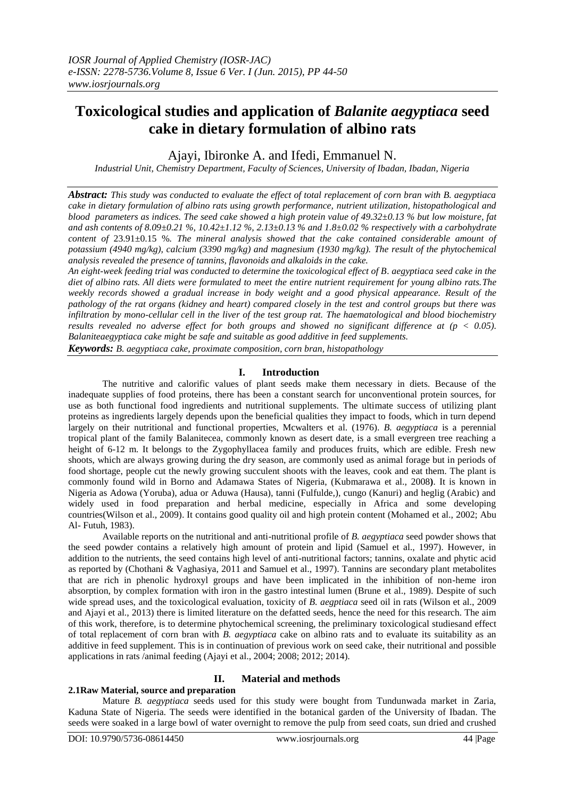# **Toxicological studies and application of** *Balanite aegyptiaca* **seed cake in dietary formulation of albino rats**

Ajayi, Ibironke A. and Ifedi, Emmanuel N.

*Industrial Unit, Chemistry Department, Faculty of Sciences, University of Ibadan, Ibadan, Nigeria*

*Abstract: This study was conducted to evaluate the effect of total replacement of corn bran with B. aegyptiaca cake in dietary formulation of albino rats using growth performance, nutrient utilization, histopathological and blood parameters as indices. The seed cake showed a high protein value of 49.32±0.13 % but low moisture, fat and ash contents of 8.09±0.21 %, 10.42±1.12 %, 2.13±0.13 % and 1.8±0.02 % respectively with a carbohydrate content of* 23.91±0.15 %*. The mineral analysis showed that the cake contained considerable amount of potassium (4940 mg/kg), calcium (3390 mg/kg) and magnesium (1930 mg/kg). The result of the phytochemical analysis revealed the presence of tannins, flavonoids and alkaloids in the cake.*

*An eight-week feeding trial was conducted to determine the toxicological effect of B. aegyptiaca seed cake in the diet of albino rats. All diets were formulated to meet the entire nutrient requirement for young albino rats.The weekly records showed a gradual increase in body weight and a good physical appearance. Result of the pathology of the rat organs (kidney and heart) compared closely in the test and control groups but there was infiltration by mono-cellular cell in the liver of the test group rat. The haematological and blood biochemistry results revealed no adverse effect for both groups and showed no significant difference at (p < 0.05). Balaniteaegyptiaca cake might be safe and suitable as good additive in feed supplements.* 

*Keywords: B. aegyptiaca cake, proximate composition, corn bran, histopathology*

# **I. Introduction**

The nutritive and calorific values of plant seeds make them necessary in diets. Because of the inadequate supplies of food proteins, there has been a constant search for unconventional protein sources, for use as both functional food ingredients and nutritional supplements. The ultimate success of utilizing plant proteins as ingredients largely depends upon the beneficial qualities they impact to foods, which in turn depend largely on their nutritional and functional properties, Mcwalters et al. (1976). *B. aegyptiaca* is a perennial tropical plant of the family Balanitecea, commonly known as desert date, is a small evergreen tree reaching a height of 6-12 m. It belongs to the Zygophyllacea family and produces fruits, which are edible. Fresh new shoots, which are always growing during the dry season, are commonly used as animal forage but in periods of food shortage, people cut the newly growing succulent shoots with the leaves, cook and eat them. The plant is commonly found wild in Borno and Adamawa States of Nigeria, (Kubmarawa et al., 2008**)**. It is known in Nigeria as Adowa (Yoruba), adua or Aduwa (Hausa), tanni (Fulfulde,), cungo (Kanuri) and heglig (Arabic) and widely used in food preparation and herbal medicine, especially in Africa and some developing countries(Wilson et al., 2009). It contains good quality oil and high protein content (Mohamed et al., 2002; Abu Al- Futuh, 1983).

Available reports on the nutritional and anti-nutritional profile of *B. aegyptiaca* seed powder shows that the seed powder contains a relatively high amount of protein and lipid (Samuel et al., 1997). However, in addition to the nutrients, the seed contains high level of anti-nutritional factors; tannins, oxalate and phytic acid as reported by (Chothani & Vaghasiya, 2011 and Samuel et al., 1997). Tannins are secondary plant metabolites that are rich in phenolic hydroxyl groups and have been implicated in the inhibition of non-heme iron absorption, by complex formation with iron in the gastro intestinal lumen (Brune et al., 1989). Despite of such wide spread uses, and the toxicological evaluation, toxicity of *B. aegptiaca* seed oil in rats (Wilson et al., 2009 and Ajayi et al., 2013) there is limited literature on the defatted seeds, hence the need for this research. The aim of this work, therefore, is to determine phytochemical screening, the preliminary toxicological studiesand effect of total replacement of corn bran with *B. aegyptiaca* cake on albino rats and to evaluate its suitability as an additive in feed supplement. This is in continuation of previous work on seed cake, their nutritional and possible applications in rats /animal feeding (Ajayi et al., 2004; 2008; 2012; 2014).

# **II. Material and methods**

# **2.1Raw Material, source and preparation**

Mature *B. aegyptiaca* seeds used for this study were bought from Tundunwada market in Zaria, Kaduna State of Nigeria. The seeds were identified in the botanical garden of the University of Ibadan. The seeds were soaked in a large bowl of water overnight to remove the pulp from seed coats, sun dried and crushed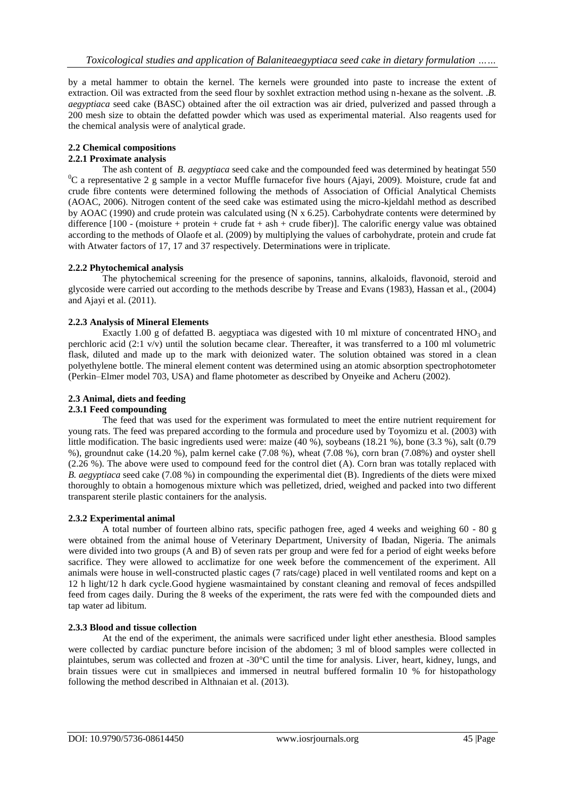by a metal hammer to obtain the kernel. The kernels were grounded into paste to increase the extent of extraction. Oil was extracted from the seed flour by soxhlet extraction method using n-hexane as the solvent. .*B. aegyptiaca* seed cake (BASC) obtained after the oil extraction was air dried, pulverized and passed through a 200 mesh size to obtain the defatted powder which was used as experimental material. Also reagents used for the chemical analysis were of analytical grade.

# **2.2 Chemical compositions**

# **2.2.1 Proximate analysis**

The ash content of *B. aegyptiaca* seed cake and the compounded feed was determined by heatingat 550 <sup>0</sup>C a representative 2 g sample in a vector Muffle furnacefor five hours (Ajayi, 2009). Moisture, crude fat and crude fibre contents were determined following the methods of Association of Official Analytical Chemists (AOAC, 2006). Nitrogen content of the seed cake was estimated using the micro-kjeldahl method as described by AOAC (1990) and crude protein was calculated using (N x 6.25). Carbohydrate contents were determined by difference  $[100 -$  (moisture + protein + crude fat + ash + crude fiber)]. The calorific energy value was obtained according to the methods of Olaofe et al. (2009) by multiplying the values of carbohydrate, protein and crude fat with Atwater factors of 17, 17 and 37 respectively. Determinations were in triplicate.

# **2.2.2 Phytochemical analysis**

The phytochemical screening for the presence of saponins, tannins, alkaloids, flavonoid, steroid and glycoside were carried out according to the methods describe by Trease and Evans (1983), Hassan et al., (2004) and Ajayi et al. (2011).

# **2.2.3 Analysis of Mineral Elements**

Exactly 1.00 g of defatted B. aegyptiaca was digested with 10 ml mixture of concentrated HNO<sub>3</sub> and perchloric acid (2:1 v/v) until the solution became clear. Thereafter, it was transferred to a 100 ml volumetric flask, diluted and made up to the mark with deionized water. The solution obtained was stored in a clean polyethylene bottle. The mineral element content was determined using an atomic absorption spectrophotometer (Perkin–Elmer model 703, USA) and flame photometer as described by Onyeike and Acheru (2002).

# **2.3 Animal, diets and feeding**

# **2.3.1 Feed compounding**

The feed that was used for the experiment was formulated to meet the entire nutrient requirement for young rats. The feed was prepared according to the formula and procedure used by Toyomizu et al. (2003) with little modification. The basic ingredients used were: maize (40 %), soybeans (18.21 %), bone (3.3 %), salt (0.79 %), groundnut cake (14.20 %), palm kernel cake (7.08 %), wheat (7.08 %), corn bran (7.08%) and oyster shell (2.26 %). The above were used to compound feed for the control diet (A). Corn bran was totally replaced with *B. aegyptiaca* seed cake (7.08 %) in compounding the experimental diet (B). Ingredients of the diets were mixed thoroughly to obtain a homogenous mixture which was pelletized, dried, weighed and packed into two different transparent sterile plastic containers for the analysis.

# **2.3.2 Experimental animal**

A total number of fourteen albino rats, specific pathogen free, aged 4 weeks and weighing 60 - 80 g were obtained from the animal house of Veterinary Department, University of Ibadan, Nigeria. The animals were divided into two groups (A and B) of seven rats per group and were fed for a period of eight weeks before sacrifice. They were allowed to acclimatize for one week before the commencement of the experiment. All animals were house in well-constructed plastic cages (7 rats/cage) placed in well ventilated rooms and kept on a 12 h light/12 h dark cycle.Good hygiene wasmaintained by constant cleaning and removal of feces andspilled feed from cages daily. During the 8 weeks of the experiment, the rats were fed with the compounded diets and tap water ad libitum.

# **2.3.3 Blood and tissue collection**

At the end of the experiment, the animals were sacrificed under light ether anesthesia. Blood samples were collected by cardiac puncture before incision of the abdomen; 3 ml of blood samples were collected in plaintubes, serum was collected and frozen at -30°C until the time for analysis. Liver, heart, kidney, lungs, and brain tissues were cut in smallpieces and immersed in neutral buffered formalin 10 % for histopathology following the method described in Althnaian et al. (2013).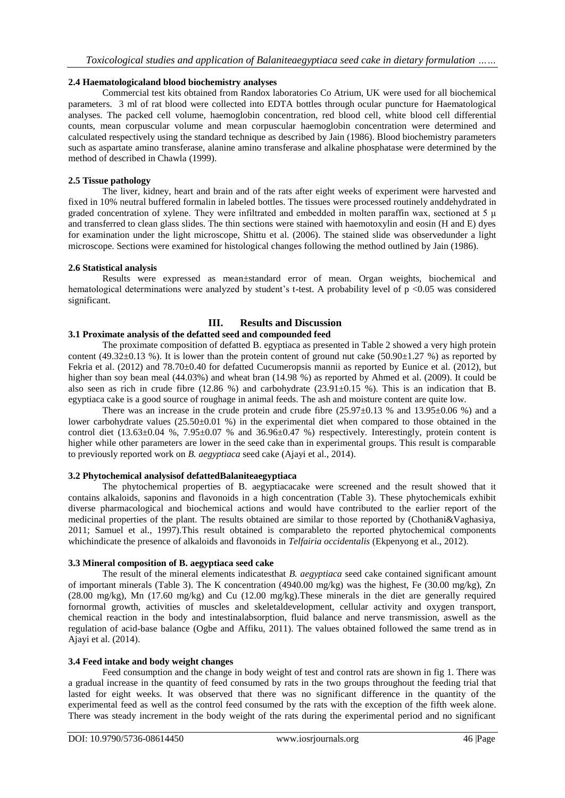# **2.4 Haematologicaland blood biochemistry analyses**

Commercial test kits obtained from Randox laboratories Co Atrium, UK were used for all biochemical parameters. 3 ml of rat blood were collected into EDTA bottles through ocular puncture for Haematological analyses. The packed cell volume, haemoglobin concentration, red blood cell, white blood cell differential counts, mean corpuscular volume and mean corpuscular haemoglobin concentration were determined and calculated respectively using the standard technique as described by Jain (1986). Blood biochemistry parameters such as aspartate amino transferase, alanine amino transferase and alkaline phosphatase were determined by the method of described in Chawla (1999).

#### **2.5 Tissue pathology**

The liver, kidney, heart and brain and of the rats after eight weeks of experiment were harvested and fixed in 10% neutral buffered formalin in labeled bottles. The tissues were processed routinely anddehydrated in graded concentration of xylene. They were infiltrated and embedded in molten paraffin wax, sectioned at 5  $\mu$ and transferred to clean glass slides. The thin sections were stained with haemotoxylin and eosin (H and E) dyes for examination under the light microscope, Shittu et al. (2006). The stained slide was observedunder a light microscope. Sections were examined for histological changes following the method outlined by Jain (1986).

#### **2.6 Statistical analysis**

Results were expressed as mean±standard error of mean. Organ weights, biochemical and hematological determinations were analyzed by student's t-test. A probability level of p <0.05 was considered significant.

# **III. Results and Discussion**

# **3.1 Proximate analysis of the defatted seed and compounded feed**

The proximate composition of defatted B. egyptiaca as presented in Table 2 showed a very high protein content (49.32 $\pm$ 0.13 %). It is lower than the protein content of ground nut cake (50.90 $\pm$ 1.27 %) as reported by Fekria et al. (2012) and 78.70±0.40 for defatted Cucumeropsis mannii as reported by Eunice et al. (2012), but higher than soy bean meal (44.03%) and wheat bran (14.98 %) as reported by Ahmed et al. (2009). It could be also seen as rich in crude fibre (12.86 %) and carbohydrate (23.91 $\pm$ 0.15 %). This is an indication that B. egyptiaca cake is a good source of roughage in animal feeds. The ash and moisture content are quite low.

There was an increase in the crude protein and crude fibre  $(25.97\pm0.13\%$  and  $13.95\pm0.06\%$ ) and a lower carbohydrate values (25.50±0.01 %) in the experimental diet when compared to those obtained in the control diet  $(13.63\pm0.04\%$ ,  $7.95\pm0.07\%$  and  $36.96\pm0.47\%$  respectively. Interestingly, protein content is higher while other parameters are lower in the seed cake than in experimental groups. This result is comparable to previously reported work on *B. aegyptiaca* seed cake (Ajayi et al., 2014).

# **3.2 Phytochemical analysisof defattedBalaniteaegyptiaca**

The phytochemical properties of B. aegyptiacacake were screened and the result showed that it contains alkaloids, saponins and flavonoids in a high concentration (Table 3). These phytochemicals exhibit diverse pharmacological and biochemical actions and would have contributed to the earlier report of the medicinal properties of the plant. The results obtained are similar to those reported by (Chothani&Vaghasiya, 2011; Samuel et al., 1997).This result obtained is comparableto the reported phytochemical components whichindicate the presence of alkaloids and flavonoids in *Telfairia occidentalis* (Ekpenyong et al., 2012).

#### **3.3 Mineral composition of B. aegyptiaca seed cake**

The result of the mineral elements indicatesthat *B. aegyptiaca* seed cake contained significant amount of important minerals (Table 3). The K concentration (4940.00 mg/kg) was the highest, Fe (30.00 mg/kg), Zn (28.00 mg/kg), Mn (17.60 mg/kg) and Cu (12.00 mg/kg).These minerals in the diet are generally required fornormal growth, activities of muscles and skeletaldevelopment, cellular activity and oxygen transport, chemical reaction in the body and intestinalabsorption, fluid balance and nerve transmission, aswell as the regulation of acid-base balance (Ogbe and Affiku, 2011). The values obtained followed the same trend as in Ajayi et al. (2014).

#### **3.4 Feed intake and body weight changes**

Feed consumption and the change in body weight of test and control rats are shown in fig 1. There was a gradual increase in the quantity of feed consumed by rats in the two groups throughout the feeding trial that lasted for eight weeks. It was observed that there was no significant difference in the quantity of the experimental feed as well as the control feed consumed by the rats with the exception of the fifth week alone. There was steady increment in the body weight of the rats during the experimental period and no significant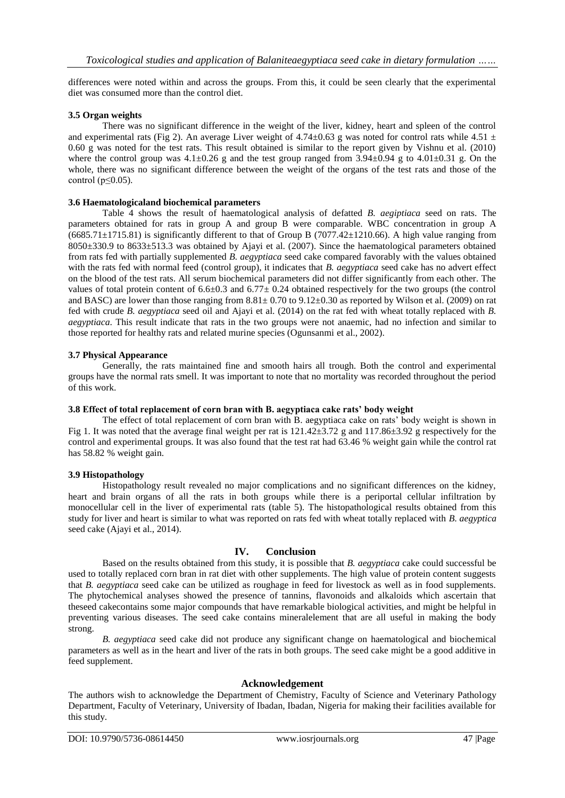differences were noted within and across the groups. From this, it could be seen clearly that the experimental diet was consumed more than the control diet.

#### **3.5 Organ weights**

There was no significant difference in the weight of the liver, kidney, heart and spleen of the control and experimental rats (Fig 2). An average Liver weight of  $4.74\pm0.63$  g was noted for control rats while  $4.51 \pm$ 0.60 g was noted for the test rats. This result obtained is similar to the report given by Vishnu et al. (2010) where the control group was  $4.1\pm0.26$  g and the test group ranged from  $3.94\pm0.94$  g to  $4.01\pm0.31$  g. On the whole, there was no significant difference between the weight of the organs of the test rats and those of the control ( $p \leq 0.05$ ).

#### **3.6 Haematologicaland biochemical parameters**

Table 4 shows the result of haematological analysis of defatted *B. aegiptiaca* seed on rats. The parameters obtained for rats in group A and group B were comparable. WBC concentration in group A  $(6685.71\pm1715.81)$  is significantly different to that of Group B (7077.42 $\pm$ 1210.66). A high value ranging from 8050±330.9 to 8633±513.3 was obtained by Ajayi et al. (2007). Since the haematological parameters obtained from rats fed with partially supplemented *B. aegyptiaca* seed cake compared favorably with the values obtained with the rats fed with normal feed (control group), it indicates that *B. aegyptiaca* seed cake has no advert effect on the blood of the test rats. All serum biochemical parameters did not differ significantly from each other. The values of total protein content of  $6.6\pm0.3$  and  $6.77\pm0.24$  obtained respectively for the two groups (the control and BASC) are lower than those ranging from  $8.81 \pm 0.70$  to  $9.12 \pm 0.30$  as reported by Wilson et al. (2009) on rat fed with crude *B. aegyptiaca* seed oil and Ajayi et al. (2014) on the rat fed with wheat totally replaced with *B. aegyptiaca*. This result indicate that rats in the two groups were not anaemic, had no infection and similar to those reported for healthy rats and related murine species (Ogunsanmi et al., 2002).

#### **3.7 Physical Appearance**

Generally, the rats maintained fine and smooth hairs all trough. Both the control and experimental groups have the normal rats smell. It was important to note that no mortality was recorded throughout the period of this work.

#### **3.8 Effect of total replacement of corn bran with B. aegyptiaca cake rats' body weight**

The effect of total replacement of corn bran with B. aegyptiaca cake on rats' body weight is shown in Fig 1. It was noted that the average final weight per rat is  $121.42\pm3.72$  g and  $117.86\pm3.92$  g respectively for the control and experimental groups. It was also found that the test rat had 63.46 % weight gain while the control rat has 58.82 % weight gain.

#### **3.9 Histopathology**

Histopathology result revealed no major complications and no significant differences on the kidney, heart and brain organs of all the rats in both groups while there is a periportal cellular infiltration by monocellular cell in the liver of experimental rats (table 5). The histopathological results obtained from this study for liver and heart is similar to what was reported on rats fed with wheat totally replaced with *B. aegyptica* seed cake (Ajayi et al., 2014).

# **IV. Conclusion**

Based on the results obtained from this study, it is possible that *B. aegyptiaca* cake could successful be used to totally replaced corn bran in rat diet with other supplements. The high value of protein content suggests that *B. aegyptiaca* seed cake can be utilized as roughage in feed for livestock as well as in food supplements. The phytochemical analyses showed the presence of tannins, flavonoids and alkaloids which ascertain that theseed cakecontains some major compounds that have remarkable biological activities, and might be helpful in preventing various diseases. The seed cake contains mineralelement that are all useful in making the body strong.

*B. aegyptiaca* seed cake did not produce any significant change on haematological and biochemical parameters as well as in the heart and liver of the rats in both groups. The seed cake might be a good additive in feed supplement.

# **Acknowledgement**

The authors wish to acknowledge the Department of Chemistry, Faculty of Science and Veterinary Pathology Department, Faculty of Veterinary, University of Ibadan, Ibadan, Nigeria for making their facilities available for this study.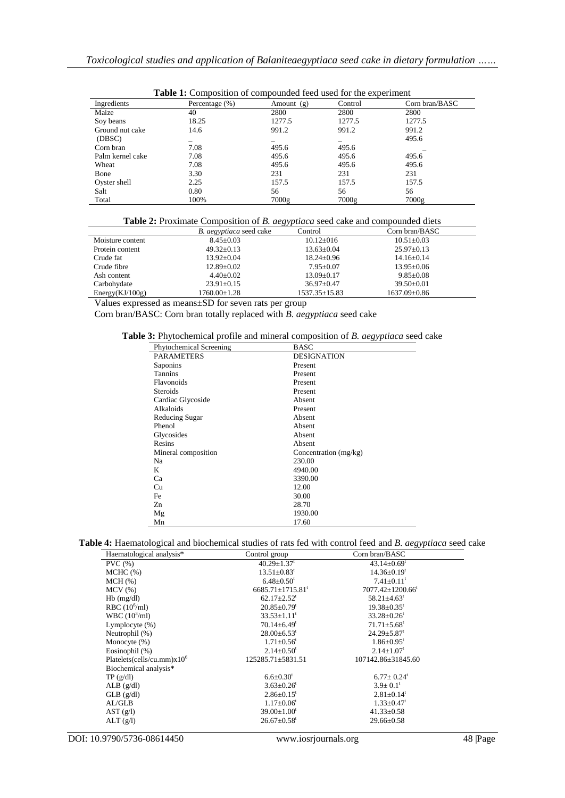| <b>Table 1:</b> Composition of compounded feed used for the experiment |                    |            |         |                |
|------------------------------------------------------------------------|--------------------|------------|---------|----------------|
| Ingredients                                                            | Percentage $(\% )$ | Amount (g) | Control | Corn bran/BASC |
| Maize                                                                  | 40                 | 2800       | 2800    | 2800           |
| Soy beans                                                              | 18.25              | 1277.5     | 1277.5  | 1277.5         |
| Ground nut cake                                                        | 14.6               | 991.2      | 991.2   | 991.2          |
| (DBSC)                                                                 |                    |            |         | 495.6          |
| Corn bran                                                              | 7.08               | 495.6      | 495.6   |                |
| Palm kernel cake                                                       | 7.08               | 495.6      | 495.6   | 495.6          |
| Wheat                                                                  | 7.08               | 495.6      | 495.6   | 495.6          |
| Bone                                                                   | 3.30               | 231        | 231     | 231            |
| Oyster shell                                                           | 2.25               | 157.5      | 157.5   | 157.5          |
| Salt                                                                   | 0.80               | 56         | 56      | 56             |
| Total                                                                  | 100%               | 7000g      | 7000g   | 7000g          |

|  |  |  | <b>Table 1:</b> Composition of compounded feed used for the experiment |
|--|--|--|------------------------------------------------------------------------|
|  |  |  |                                                                        |

| <b>Table 2:</b> Proximate Composition of <i>B. degyptiaca</i> seed cake and compounded diets |                                |                     |                    |
|----------------------------------------------------------------------------------------------|--------------------------------|---------------------|--------------------|
|                                                                                              | <i>B. aegyptiaca</i> seed cake | Control             | Corn bran/BASC     |
| Moisture content                                                                             | $8.45 + 0.03$                  | $10.12 \pm 016$     | $10.51 + 0.03$     |
| Protein content                                                                              | $49.32 \pm 0.13$               | $13.63 \pm 0.04$    | $25.97 \pm 0.13$   |
| Crude fat                                                                                    | $13.92+0.04$                   | $18.24 \pm 0.96$    | $14.16 \pm 0.14$   |
| Crude fibre                                                                                  | $12.89 \pm 0.02$               | $7.95 \pm 0.07$     | $13.95 \pm 0.06$   |
| Ash content                                                                                  | $4.40+0.02$                    | $13.09 \pm 0.17$    | $9.85 + 0.08$      |
| Carbohydate                                                                                  | $23.91 \pm 0.15$               | $36.97 \pm 0.47$    | $39.50 \pm 0.01$   |
| Energy(KJ/100g)                                                                              | 1760.00±1.28                   | $1537.35 \pm 15.83$ | $1637.09 \pm 0.86$ |

Values expressed as means±SD for seven rats per group

Corn bran/BASC: Corn bran totally replaced with *B. aegyptiaca* seed cake

**Table 3:** Phytochemical profile and mineral composition of *B. aegyptiaca* seed cake

| Phytochemical Screening | <b>BASC</b>           |
|-------------------------|-----------------------|
| <b>PARAMETERS</b>       | <b>DESIGNATION</b>    |
| Saponins                | Present               |
| <b>Tannins</b>          | Present               |
| Flavonoids              | Present               |
| Steroids                | Present               |
| Cardiac Glycoside       | Absent                |
| Alkaloids               | Present               |
| Reducing Sugar          | Absent                |
| Phenol                  | Absent                |
| Glycosides              | Absent                |
| Resins                  | Absent                |
| Mineral composition     | Concentration (mg/kg) |
| Na                      | 230.00                |
| K                       | 4940.00               |
| Ca                      | 3390.00               |
| Cu                      | 12.00                 |
| Fe                      | 30.00                 |
| Zn                      | 28.70                 |
| Mg                      | 1930.00               |
| Mn                      | 17.60                 |

**Table 4:** Haematological and biochemical studies of rats fed with control feed and *B. aegyptiaca* seed cake

|                                |                                    | ◡◞▴                                |
|--------------------------------|------------------------------------|------------------------------------|
| Haematological analysis*       | Control group                      | Corn bran/BASC                     |
| PVC(%)                         | $40.29 \pm 1.37$ <sup>t</sup>      | $43.14 \pm 0.69$ <sup>t</sup>      |
| $MCHC$ $(\%)$                  | $13.51 \pm 0.83$ <sup>t</sup>      | $14.36 \pm 0.19$ <sup>t</sup>      |
| MCH (%)                        | $6.48 \pm 0.50$ <sup>t</sup>       | $7.41 \pm 0.11$ <sup>t</sup>       |
| $MCV$ $(\%)$                   | $6685.71 \pm 1715.81$ <sup>t</sup> | $7077.42 \pm 1200.66$ <sup>t</sup> |
| $Hb$ (mg/dl)                   | $62.17 \pm 2.52$ <sup>t</sup>      | $58.21 \pm 4.63$ <sup>t</sup>      |
| RBC $(10^6\text{/ml})$         | $20.85 \pm 0.79$ <sup>t</sup>      | $19.38 \pm 0.35$ <sup>t</sup>      |
| $WBC (10^3/ml)$                | $33.53 \pm 1.11$ <sup>t</sup>      | $33.28 \pm 0.26$ <sup>t</sup>      |
| Lymplocyte $(\%)$              | $70.14 \pm 6.49$ <sup>t</sup>      | $71.71 \pm 5.68^t$                 |
| Neutrophil (%)                 | $28.00\pm6.53$ <sup>t</sup>        | $24.29 \pm 5.87$ <sup>t</sup>      |
| Monocyte $(\%)$                | $1.71 \pm 0.56$ <sup>t</sup>       | $1.86 \pm 0.95$ <sup>t</sup>       |
| Eosinophil (%)                 | $2.14 \pm 0.50$ <sup>t</sup>       | $2.14 \pm 1.07$ <sup>t</sup>       |
| Platelets(cells/cu.mm) $x10^6$ | 125285.71±5831.51                  | 107142.86±31845.60                 |
| Biochemical analysis*          |                                    |                                    |
| TP(g/dl)                       | $6.6 \pm 0.30^t$                   | $6.77 \pm 0.24$ <sup>t</sup>       |
| $ALB$ (g/dl)                   | $3.63 \pm 0.26$ <sup>t</sup>       | $3.9 \pm 0.1$ <sup>t</sup>         |
| $GLB$ (g/dl)                   | $2.86 \pm 0.15$ <sup>t</sup>       | $2.81 \pm 0.14$ <sup>t</sup>       |
| AL/GLB                         | $1.17 \pm 0.06$ <sup>t</sup>       | $1.33 \pm 0.47$ <sup>t</sup>       |
| AST (g/l)                      | $39.00 \pm 1.00$ <sup>t</sup>      | $41.33 \pm 0.58$                   |
| ALT(g/l)                       | $26.67 \pm 0.58$ <sup>t</sup>      | $29.66 \pm 0.58$                   |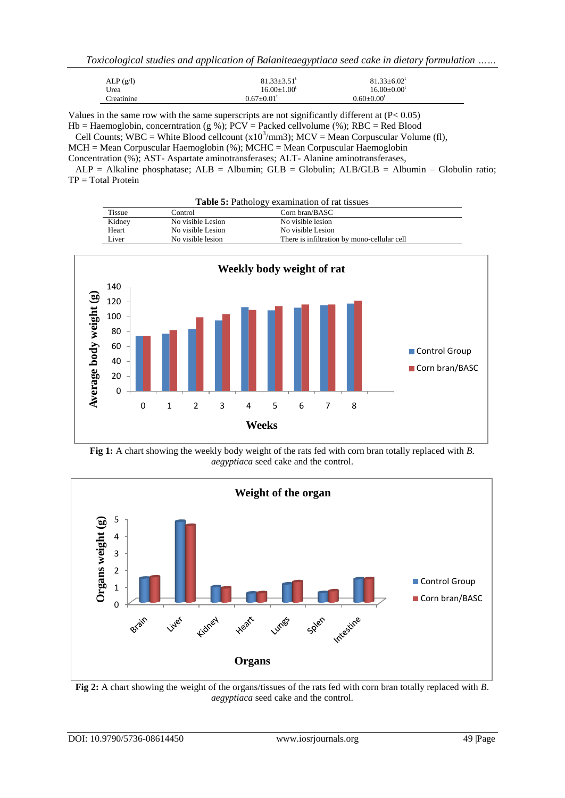*Toxicological studies and application of Balaniteaegyptiaca seed cake in dietary formulation ……*

| ALP(g/l)   | $81.33 + 3.51$ <sup>t</sup>  | $81.33 \pm 6.02^t$ |
|------------|------------------------------|--------------------|
| Urea       | $16.00 + 1.00$ <sup>t</sup>  | $16.00+0.00t$      |
| Creatinine | $0.67 \pm 0.01$ <sup>t</sup> | $0.60 \pm 0.00^t$  |

Values in the same row with the same superscripts are not significantly different at (P< 0.05)  $Hb = Haemoglobin, concentration (g %); PCV = Packed cellvolume (%); RBC = Red Blood$ 

Cell Counts; WBC = White Blood cellcount  $(x10^3/\text{mm}3)$ ; MCV = Mean Corpuscular Volume (fl),

MCH = Mean Corpuscular Haemoglobin (%); MCHC = Mean Corpuscular Haemoglobin

Concentration (%); AST- Aspartate aminotransferases; ALT- Alanine aminotransferases,

 $ALP = Alkaline phosphatase$ ;  $ALB = Albumin$ ;  $GLB = Globulin$ ;  $ALB/GLB = Albumin - Globulin$ ; ratio; TP = Total Protein

| <b>Table 5:</b> Pathology examination of rat tissues |                   |                                             |  |
|------------------------------------------------------|-------------------|---------------------------------------------|--|
| <b>Tissue</b><br>Corn bran/BASC<br>Control           |                   |                                             |  |
| Kidney                                               | No visible Lesion | No visible lesion                           |  |
| Heart                                                | No visible Lesion | No visible Lesion                           |  |
| Liver                                                | No visible lesion | There is infiltration by mono-cellular cell |  |



**Fig 1:** A chart showing the weekly body weight of the rats fed with corn bran totally replaced with *B. aegyptiaca* seed cake and the control.